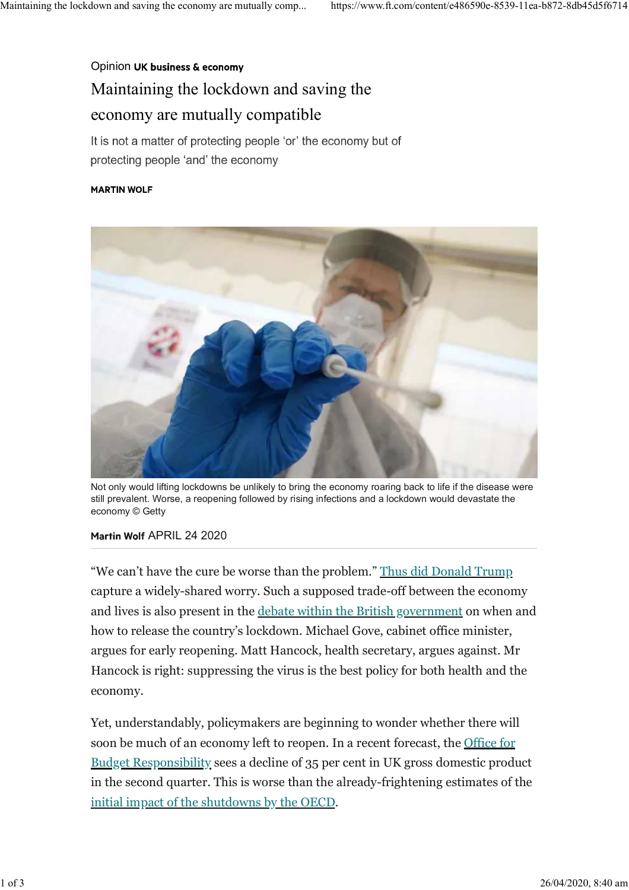## Opinion UK business & economy Maintaining the lockdown and saving the economy are mutually compatible

It is not a matter of protecting people 'or' the economy but of protecting people 'and' the economy

## **MARTIN WOLF**



Not only would lifting lockdowns be unlikely to bring the economy roaring back to life if the disease were still prevalent. Worse, a reopening followed by rising infections and a lockdown would devastate the economy © Getty

## Martin Wolf APRIL 24 2020

"We can't have the cure be worse than the problem." Thus did Donald Trump capture a widely-shared worry. Such a supposed trade-off between the economy and lives is also present in the debate within the British government on when and how to release the country's lockdown. Michael Gove, cabinet office minister, argues for early reopening. Matt Hancock, health secretary, argues against. Mr Hancock is right: suppressing the virus is the best policy for both health and the economy.

Yet, understandably, policymakers are beginning to wonder whether there will soon be much of an economy left to reopen. In a recent forecast, the Office for Budget Responsibility sees a decline of 35 per cent in UK gross domestic product in the second quarter. This is worse than the already-frightening estimates of the initial impact of the shutdowns by the OECD.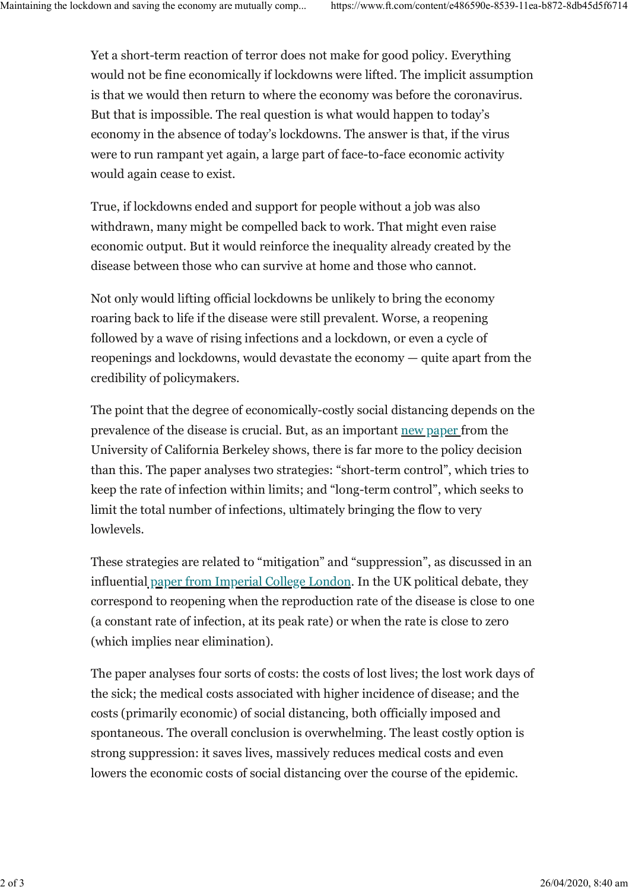Yet a short-term reaction of terror does not make for good policy. Everything would not be fine economically if lockdowns were lifted. The implicit assumption is that we would then return to where the economy was before the coronavirus. But that is impossible. The real question is what would happen to today's economy in the absence of today's lockdowns. The answer is that, if the virus were to run rampant yet again, a large part of face-to-face economic activity would again cease to exist.

True, if lockdowns ended and support for people without a job was also withdrawn, many might be compelled back to work. That might even raise economic output. But it would reinforce the inequality already created by the disease between those who can survive at home and those who cannot.

Not only would lifting official lockdowns be unlikely to bring the economy roaring back to life if the disease were still prevalent. Worse, a reopening followed by a wave of rising infections and a lockdown, or even a cycle of reopenings and lockdowns, would devastate the economy — quite apart from the credibility of policymakers.

The point that the degree of economically-costly social distancing depends on the prevalence of the disease is crucial. But, as an important new paper from the University of California Berkeley shows, there is far more to the policy decision than this. The paper analyses two strategies: "short-term control", which tries to keep the rate of infection within limits; and "long-term control", which seeks to limit the total number of infections, ultimately bringing the flow to very lowlevels.

These strategies are related to "mitigation" and "suppression", as discussed in an influential paper from Imperial College London. In the UK political debate, they correspond to reopening when the reproduction rate of the disease is close to one (a constant rate of infection, at its peak rate) or when the rate is close to zero (which implies near elimination).

The paper analyses four sorts of costs: the costs of lost lives; the lost work days of the sick; the medical costs associated with higher incidence of disease; and the costs (primarily economic) of social distancing, both officially imposed and spontaneous. The overall conclusion is overwhelming. The least costly option is strong suppression: it saves lives, massively reduces medical costs and even lowers the economic costs of social distancing over the course of the epidemic.